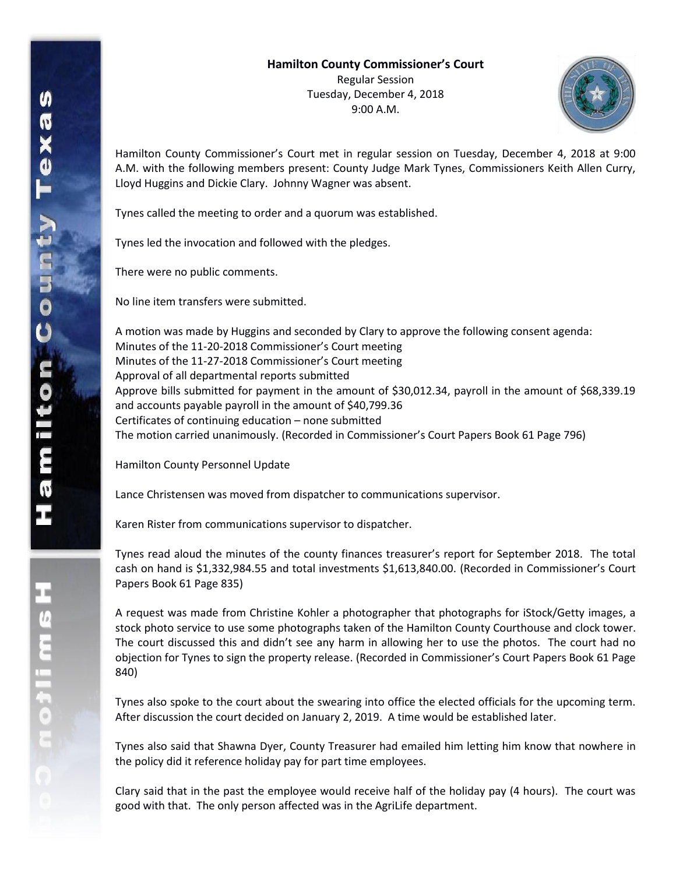

Hamilton County Commissioner's Court met in regular session on Tuesday, December 4, 2018 at 9:00 A.M. with the following members present: County Judge Mark Tynes, Commissioners Keith Allen Curry, Lloyd Huggins and Dickie Clary. Johnny Wagner was absent.

Tynes called the meeting to order and a quorum was established.

Tynes led the invocation and followed with the pledges.

There were no public comments.

No line item transfers were submitted.

A motion was made by Huggins and seconded by Clary to approve the following consent agenda: Minutes of the 11-20-2018 Commissioner's Court meeting Minutes of the 11-27-2018 Commissioner's Court meeting Approval of all departmental reports submitted Approve bills submitted for payment in the amount of \$30,012.34, payroll in the amount of \$68,339.19 and accounts payable payroll in the amount of \$40,799.36 Certificates of continuing education – none submitted The motion carried unanimously. (Recorded in Commissioner's Court Papers Book 61 Page 796)

Hamilton County Personnel Update

Lance Christensen was moved from dispatcher to communications supervisor.

Karen Rister from communications supervisor to dispatcher.

Tynes read aloud the minutes of the county finances treasurer's report for September 2018. The total cash on hand is \$1,332,984.55 and total investments \$1,613,840.00. (Recorded in Commissioner's Court Papers Book 61 Page 835)

A request was made from Christine Kohler a photographer that photographs for iStock/Getty images, a stock photo service to use some photographs taken of the Hamilton County Courthouse and clock tower. The court discussed this and didn't see any harm in allowing her to use the photos. The court had no objection for Tynes to sign the property release. (Recorded in Commissioner's Court Papers Book 61 Page 840)

Tynes also spoke to the court about the swearing into office the elected officials for the upcoming term. After discussion the court decided on January 2, 2019. A time would be established later.

Tynes also said that Shawna Dyer, County Treasurer had emailed him letting him know that nowhere in the policy did it reference holiday pay for part time employees.

Clary said that in the past the employee would receive half of the holiday pay (4 hours). The court was good with that. The only person affected was in the AgriLife department.

エムミニャクこ